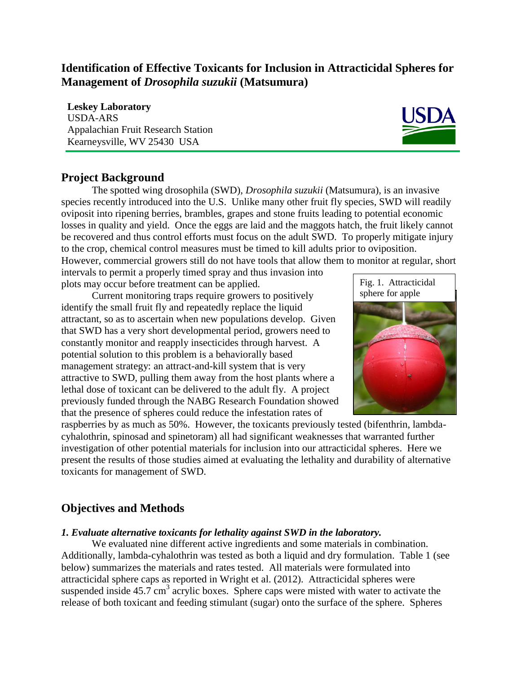# **Identification of Effective Toxicants for Inclusion in Attracticidal Spheres for Management of** *Drosophila suzukii* **(Matsumura)**

**Leskey Laboratory**  USDA-ARS Appalachian Fruit Research Station Kearneysville, WV 25430 USA



## **Project Background**

The spotted wing drosophila (SWD), *Drosophila suzukii* (Matsumura), is an invasive species recently introduced into the U.S. Unlike many other fruit fly species, SWD will readily oviposit into ripening berries, brambles, grapes and stone fruits leading to potential economic losses in quality and yield. Once the eggs are laid and the maggots hatch, the fruit likely cannot be recovered and thus control efforts must focus on the adult SWD. To properly mitigate injury to the crop, chemical control measures must be timed to kill adults prior to oviposition.

However, commercial growers still do not have tools that allow them to monitor at regular, short

intervals to permit a properly timed spray and thus invasion into plots may occur before treatment can be applied.

Current monitoring traps require growers to positively identify the small fruit fly and repeatedly replace the liquid attractant, so as to ascertain when new populations develop. Given that SWD has a very short developmental period, growers need to constantly monitor and reapply insecticides through harvest. A potential solution to this problem is a behaviorally based management strategy: an attract-and-kill system that is very attractive to SWD, pulling them away from the host plants where a lethal dose of toxicant can be delivered to the adult fly. A project previously funded through the NABG Research Foundation showed that the presence of spheres could reduce the infestation rates of



raspberries by as much as 50%. However, the toxicants previously tested (bifenthrin, lambdacyhalothrin, spinosad and spinetoram) all had significant weaknesses that warranted further investigation of other potential materials for inclusion into our attracticidal spheres. Here we present the results of those studies aimed at evaluating the lethality and durability of alternative toxicants for management of SWD.

# **Objectives and Methods**

### *1. Evaluate alternative toxicants for lethality against SWD in the laboratory.*

We evaluated nine different active ingredients and some materials in combination. Additionally, lambda-cyhalothrin was tested as both a liquid and dry formulation. Table 1 (see below) summarizes the materials and rates tested. All materials were formulated into attracticidal sphere caps as reported in Wright et al. (2012). Attracticidal spheres were suspended inside  $45.7 \text{ cm}^3$  acrylic boxes. Sphere caps were misted with water to activate the release of both toxicant and feeding stimulant (sugar) onto the surface of the sphere. Spheres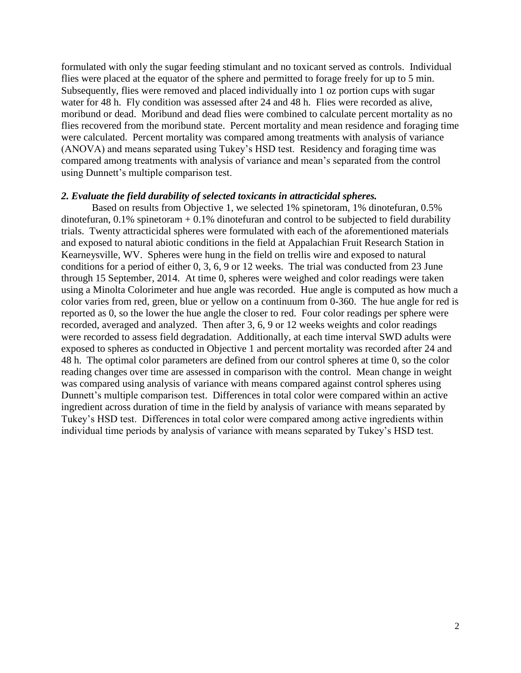formulated with only the sugar feeding stimulant and no toxicant served as controls. Individual flies were placed at the equator of the sphere and permitted to forage freely for up to 5 min. Subsequently, flies were removed and placed individually into 1 oz portion cups with sugar water for 48 h. Fly condition was assessed after 24 and 48 h. Flies were recorded as alive, moribund or dead. Moribund and dead flies were combined to calculate percent mortality as no flies recovered from the moribund state. Percent mortality and mean residence and foraging time were calculated. Percent mortality was compared among treatments with analysis of variance (ANOVA) and means separated using Tukey's HSD test. Residency and foraging time was compared among treatments with analysis of variance and mean's separated from the control using Dunnett's multiple comparison test.

#### *2. Evaluate the field durability of selected toxicants in attracticidal spheres.*

Based on results from Objective 1, we selected 1% spinetoram, 1% dinotefuran, 0.5% dinotefuran,  $0.1\%$  spinetoram  $+0.1\%$  dinotefuran and control to be subjected to field durability trials. Twenty attracticidal spheres were formulated with each of the aforementioned materials and exposed to natural abiotic conditions in the field at Appalachian Fruit Research Station in Kearneysville, WV. Spheres were hung in the field on trellis wire and exposed to natural conditions for a period of either 0, 3, 6, 9 or 12 weeks. The trial was conducted from 23 June through 15 September, 2014. At time 0, spheres were weighed and color readings were taken using a Minolta Colorimeter and hue angle was recorded. Hue angle is computed as how much a color varies from red, green, blue or yellow on a continuum from 0-360. The hue angle for red is reported as 0, so the lower the hue angle the closer to red. Four color readings per sphere were recorded, averaged and analyzed. Then after 3, 6, 9 or 12 weeks weights and color readings were recorded to assess field degradation. Additionally, at each time interval SWD adults were exposed to spheres as conducted in Objective 1 and percent mortality was recorded after 24 and 48 h. The optimal color parameters are defined from our control spheres at time 0, so the color reading changes over time are assessed in comparison with the control. Mean change in weight was compared using analysis of variance with means compared against control spheres using Dunnett's multiple comparison test. Differences in total color were compared within an active ingredient across duration of time in the field by analysis of variance with means separated by Tukey's HSD test. Differences in total color were compared among active ingredients within individual time periods by analysis of variance with means separated by Tukey's HSD test.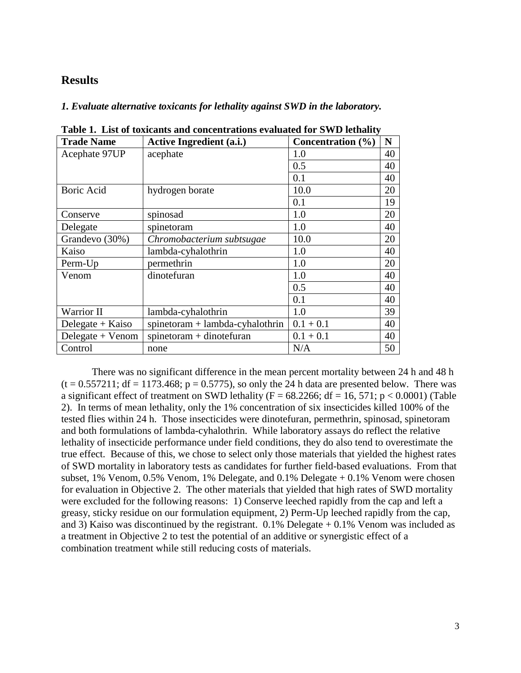## **Results**

*1. Evaluate alternative toxicants for lethality against SWD in the laboratory.*

| <b>Trade Name</b>  | <b>Active Ingredient (a.i.)</b>   | Concentration (%) | N  |
|--------------------|-----------------------------------|-------------------|----|
| Acephate 97UP      | acephate                          | 1.0               | 40 |
|                    |                                   | 0.5               | 40 |
|                    |                                   | 0.1               | 40 |
| <b>Boric Acid</b>  | hydrogen borate                   | 10.0              | 20 |
|                    |                                   | 0.1               | 19 |
| Conserve           | spinosad                          | 1.0               | 20 |
| Delegate           | spinetoram                        | 1.0               | 40 |
| Grandevo (30%)     | Chromobacterium subtsugae         | 10.0              | 20 |
| Kaiso              | lambda-cyhalothrin                | 1.0               | 40 |
| Perm-Up            | permethrin                        | 1.0               | 20 |
| Venom              | dinotefuran                       | 1.0               | 40 |
|                    |                                   | 0.5               | 40 |
|                    |                                   | 0.1               | 40 |
| Warrior II         | lambda-cyhalothrin                | 1.0               | 39 |
| Delegate $+$ Kaiso | $spinetoram + lambda-cyhalothrin$ | $0.1 + 0.1$       | 40 |
| Delegate + Venom   | $spinetoram + dinotefuran$        | $0.1 + 0.1$       | 40 |
| Control            | none                              | N/A               | 50 |

**Table 1. List of toxicants and concentrations evaluated for SWD lethality**

There was no significant difference in the mean percent mortality between 24 h and 48 h  $(t = 0.557211$ ; df = 1173.468; p = 0.5775), so only the 24 h data are presented below. There was a significant effect of treatment on SWD lethality ( $F = 68.2266$ ; df = 16, 571; p < 0.0001) (Table 2). In terms of mean lethality, only the 1% concentration of six insecticides killed 100% of the tested flies within 24 h. Those insecticides were dinotefuran, permethrin, spinosad, spinetoram and both formulations of lambda-cyhalothrin. While laboratory assays do reflect the relative lethality of insecticide performance under field conditions, they do also tend to overestimate the true effect. Because of this, we chose to select only those materials that yielded the highest rates of SWD mortality in laboratory tests as candidates for further field-based evaluations. From that subset, 1% Venom, 0.5% Venom, 1% Delegate, and 0.1% Delegate + 0.1% Venom were chosen for evaluation in Objective 2. The other materials that yielded that high rates of SWD mortality were excluded for the following reasons: 1) Conserve leeched rapidly from the cap and left a greasy, sticky residue on our formulation equipment, 2) Perm-Up leeched rapidly from the cap, and 3) Kaiso was discontinued by the registrant.  $0.1\%$  Delegate  $+0.1\%$  Venom was included as a treatment in Objective 2 to test the potential of an additive or synergistic effect of a combination treatment while still reducing costs of materials.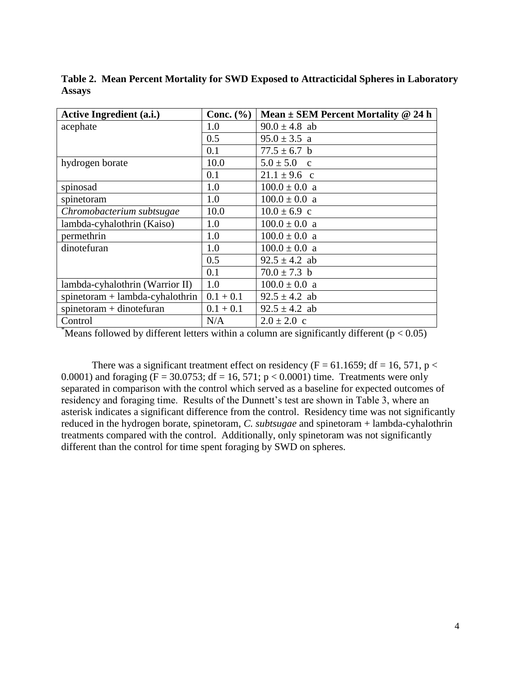| <b>Active Ingredient (a.i.)</b>   | Conc. $(\% )$ | Mean $\pm$ SEM Percent Mortality @ 24 h |
|-----------------------------------|---------------|-----------------------------------------|
| acephate                          | 1.0           | $90.0 \pm 4.8$ ab                       |
|                                   | 0.5           | $95.0 \pm 3.5$ a                        |
|                                   | 0.1           | $77.5 \pm 6.7$ b                        |
| hydrogen borate                   | 10.0          | $5.0 \pm 5.0$ c                         |
|                                   | 0.1           | $21.1 \pm 9.6$ c                        |
| spinosad                          | 1.0           | $100.0 \pm 0.0$ a                       |
| spinetoram                        | 1.0           | $100.0 \pm 0.0$ a                       |
| Chromobacterium subtsugae         | 10.0          | $10.0 \pm 6.9$ c                        |
| lambda-cyhalothrin (Kaiso)        | 1.0           | $100.0 \pm 0.0$ a                       |
| permethrin                        | 1.0           | $100.0 \pm 0.0$ a                       |
| dinotefuran                       | 1.0           | $100.0 \pm 0.0$ a                       |
|                                   | 0.5           | $92.5 \pm 4.2$ ab                       |
|                                   | 0.1           | $70.0 \pm 7.3$ b                        |
| lambda-cyhalothrin (Warrior II)   | 1.0           | $100.0 \pm 0.0$ a                       |
| $spinetoram + lambda-cyhalothrin$ | $0.1 + 0.1$   | $92.5 \pm 4.2$ ab                       |
| $spinetoram + dinotefuran$        | $0.1 + 0.1$   | $92.5 \pm 4.2$ ab                       |
| Control                           | N/A           | $2.0 \pm 2.0$ c                         |

**Table 2. Mean Percent Mortality for SWD Exposed to Attracticidal Spheres in Laboratory Assays**

\*Means followed by different letters within a column are significantly different ( $p < 0.05$ )

There was a significant treatment effect on residency (F = 61.1659; df = 16, 571, p < 0.0001) and foraging ( $F = 30.0753$ ; df = 16, 571; p < 0.0001) time. Treatments were only separated in comparison with the control which served as a baseline for expected outcomes of residency and foraging time. Results of the Dunnett's test are shown in Table 3, where an asterisk indicates a significant difference from the control. Residency time was not significantly reduced in the hydrogen borate, spinetoram, *C. subtsugae* and spinetoram + lambda-cyhalothrin treatments compared with the control. Additionally, only spinetoram was not significantly different than the control for time spent foraging by SWD on spheres.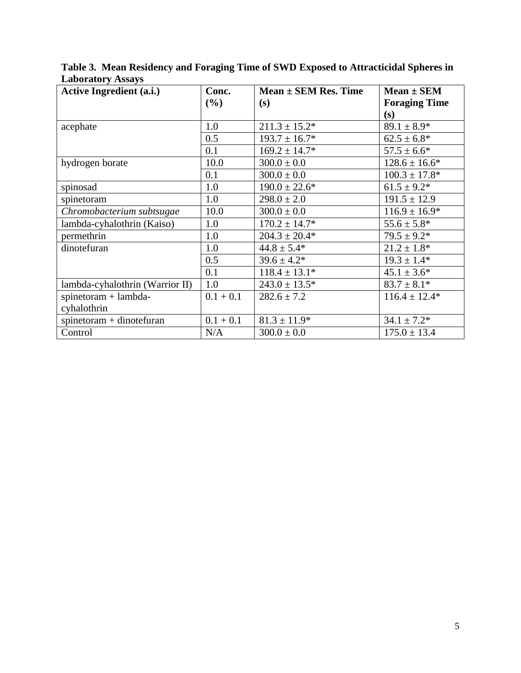| <b>Active Ingredient (a.i.)</b> | Conc.       | $Mean \pm SEM Res. Time$ | $Mean \pm SEM$       |
|---------------------------------|-------------|--------------------------|----------------------|
|                                 | (%)         | (s)                      | <b>Foraging Time</b> |
|                                 |             |                          | (s)                  |
| acephate                        | 1.0         | $211.3 \pm 15.2^*$       | $89.1 \pm 8.9*$      |
|                                 | 0.5         | $193.7 \pm 16.7*$        | $62.5 \pm 6.8^*$     |
|                                 | 0.1         | $169.2 \pm 14.7*$        | $57.5 \pm 6.6^*$     |
| hydrogen borate                 | 10.0        | $300.0 \pm 0.0$          | $128.6 \pm 16.6^*$   |
|                                 | 0.1         | $300.0 \pm 0.0$          | $100.3 \pm 17.8^*$   |
| spinosad                        | 1.0         | $190.0 \pm 22.6^*$       | $61.5 \pm 9.2*$      |
| spinetoram                      | 1.0         | $298.0 \pm 2.0$          | $191.5 \pm 12.9$     |
| Chromobacterium subtsugae       | 10.0        | $300.0 \pm 0.0$          | $116.9 \pm 16.9*$    |
| lambda-cyhalothrin (Kaiso)      | 1.0         | $170.2 \pm 14.7*$        | $55.6 \pm 5.8*$      |
| permethrin                      | 1.0         | $204.3 \pm 20.4*$        | $79.5 \pm 9.2*$      |
| dinotefuran                     | 1.0         | $44.8 \pm 5.4*$          | $21.2 \pm 1.8*$      |
|                                 | 0.5         | $39.6 \pm 4.2*$          | $19.3 \pm 1.4*$      |
|                                 | 0.1         | $118.4 \pm 13.1*$        | $45.1 \pm 3.6^*$     |
| lambda-cyhalothrin (Warrior II) | 1.0         | $243.0 \pm 13.5^*$       | $83.7 \pm 8.1*$      |
| $spinetoram + lambda-$          | $0.1 + 0.1$ | $282.6 \pm 7.2$          | $116.4 \pm 12.4*$    |
| cyhalothrin                     |             |                          |                      |
| $spinetoram + dinotefuran$      | $0.1 + 0.1$ | $81.3 \pm 11.9*$         | $34.1 \pm 7.2^*$     |
| Control                         | N/A         | $300.0 \pm 0.0$          | $175.0 \pm 13.4$     |

**Table 3. Mean Residency and Foraging Time of SWD Exposed to Attracticidal Spheres in Laboratory Assays**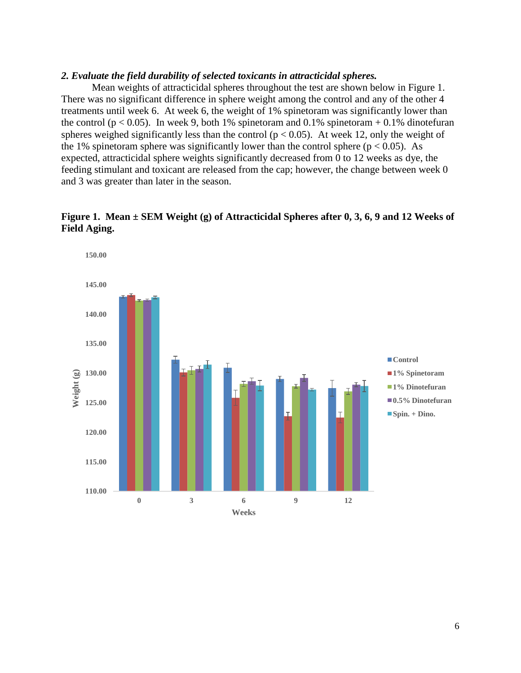#### *2. Evaluate the field durability of selected toxicants in attracticidal spheres.*

Mean weights of attracticidal spheres throughout the test are shown below in Figure 1. There was no significant difference in sphere weight among the control and any of the other 4 treatments until week 6. At week 6, the weight of 1% spinetoram was significantly lower than the control ( $p < 0.05$ ). In week 9, both 1% spinetoram and 0.1% spinetoram + 0.1% dinotefuran spheres weighed significantly less than the control ( $p < 0.05$ ). At week 12, only the weight of the 1% spinetoram sphere was significantly lower than the control sphere ( $p < 0.05$ ). As expected, attracticidal sphere weights significantly decreased from 0 to 12 weeks as dye, the feeding stimulant and toxicant are released from the cap; however, the change between week 0 and 3 was greater than later in the season.



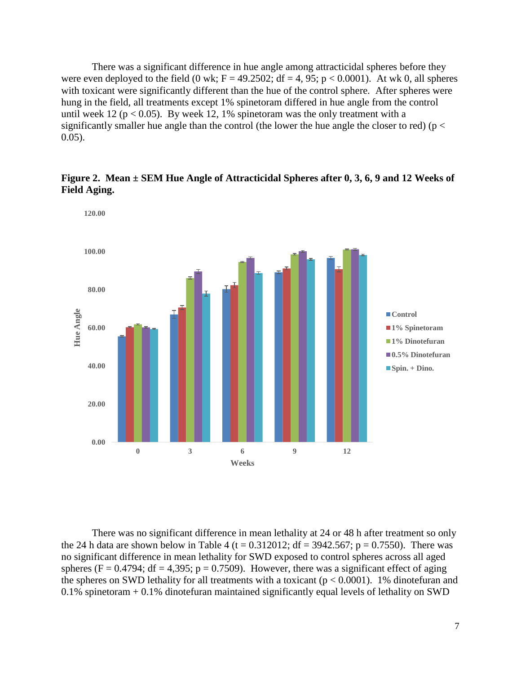There was a significant difference in hue angle among attracticidal spheres before they were even deployed to the field  $(0 \text{ wk}; F = 49.2502; df = 4, 95; p < 0.0001)$ . At wk 0, all spheres with toxicant were significantly different than the hue of the control sphere. After spheres were hung in the field, all treatments except 1% spinetoram differed in hue angle from the control until week 12 ( $p < 0.05$ ). By week 12, 1% spinetoram was the only treatment with a significantly smaller hue angle than the control (the lower the hue angle the closer to red) ( $p <$ 0.05).



**Figure 2. Mean ± SEM Hue Angle of Attracticidal Spheres after 0, 3, 6, 9 and 12 Weeks of Field Aging.**

There was no significant difference in mean lethality at 24 or 48 h after treatment so only the 24 h data are shown below in Table 4 (t =  $0.312012$ ; df =  $3942.567$ ; p =  $0.7550$ ). There was no significant difference in mean lethality for SWD exposed to control spheres across all aged spheres (F = 0.4794; df = 4,395; p = 0.7509). However, there was a significant effect of aging the spheres on SWD lethality for all treatments with a toxicant ( $p < 0.0001$ ). 1% dinotefuran and 0.1% spinetoram + 0.1% dinotefuran maintained significantly equal levels of lethality on SWD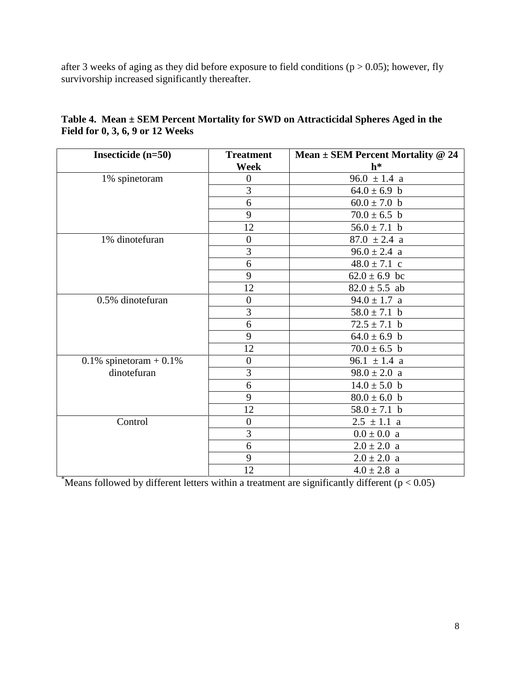after 3 weeks of aging as they did before exposure to field conditions ( $p > 0.05$ ); however, fly survivorship increased significantly thereafter.

| Insecticide $(n=50)$         | <b>Treatment</b> | Mean $\pm$ SEM Percent Mortality @ 24 |
|------------------------------|------------------|---------------------------------------|
|                              | Week             | $h^*$                                 |
| 1% spinetoram                | $\overline{0}$   | $96.0 \pm 1.4$ a                      |
|                              | 3                | $64.0 \pm 6.9$ b                      |
|                              | 6                | $60.0 \pm 7.0$ b                      |
|                              | 9                | $70.0 \pm 6.5$ b                      |
|                              | 12               | $56.0 \pm 7.1$ b                      |
| 1% dinotefuran               | $\boldsymbol{0}$ | $87.0 \pm 2.4$ a                      |
|                              | 3                | $96.0 \pm 2.4$ a                      |
|                              | 6                | $48.0 \pm 7.1$ c                      |
|                              | 9                | $62.0 \pm 6.9$ bc                     |
|                              | 12               | $82.0 \pm 5.5$ ab                     |
| 0.5% dinotefuran             | $\boldsymbol{0}$ | $94.0 \pm 1.7$ a                      |
|                              | $\overline{3}$   | $58.0 \pm 7.1$ b                      |
|                              | 6                | $72.5 \pm 7.1$ b                      |
|                              | 9                | $64.0 \pm 6.9$ b                      |
|                              | 12               | $70.0 \pm 6.5$ b                      |
| $0.1\%$ spinetoram + $0.1\%$ | $\overline{0}$   | 96.1 $\pm$ 1.4 a                      |
| dinotefuran                  | $\overline{3}$   | $98.0 \pm 2.0 a$                      |
|                              | 6                | $14.0 \pm 5.0$ b                      |
|                              | 9                | $80.0 \pm 6.0$ b                      |
|                              | 12               | $58.0 \pm 7.1$ b                      |
| Control                      | $\boldsymbol{0}$ | $2.5 \pm 1.1$ a                       |
|                              | 3                | $0.0\pm0.0\,$ a                       |
|                              | 6                | $2.0 \pm 2.0$ a                       |
|                              | 9                | $2.0 \pm 2.0$ a                       |
|                              | 12               | $4.0 \pm 2.8$ a                       |

**Table 4. Mean ± SEM Percent Mortality for SWD on Attracticidal Spheres Aged in the Field for 0, 3, 6, 9 or 12 Weeks**

\*Means followed by different letters within a treatment are significantly different ( $p < 0.05$ )